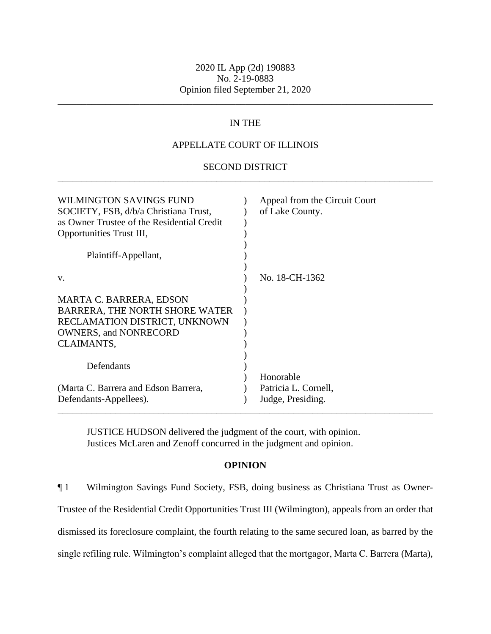\_\_\_\_\_\_\_\_\_\_\_\_\_\_\_\_\_\_\_\_\_\_\_\_\_\_\_\_\_\_\_\_\_\_\_\_\_\_\_\_\_\_\_\_\_\_\_\_\_\_\_\_\_\_\_\_\_\_\_\_\_\_\_\_\_\_\_\_\_\_\_\_\_\_\_\_\_\_

# IN THE

# APPELLATE COURT OF ILLINOIS

### SECOND DISTRICT \_\_\_\_\_\_\_\_\_\_\_\_\_\_\_\_\_\_\_\_\_\_\_\_\_\_\_\_\_\_\_\_\_\_\_\_\_\_\_\_\_\_\_\_\_\_\_\_\_\_\_\_\_\_\_\_\_\_\_\_\_\_\_\_\_\_\_\_\_\_\_\_\_\_\_\_\_\_

| WILMINGTON SAVINGS FUND<br>SOCIETY, FSB, d/b/a Christiana Trust,<br>as Owner Trustee of the Residential Credit<br>Opportunities Trust III,<br>Plaintiff-Appellant, | Appeal from the Circuit Court<br>of Lake County.       |
|--------------------------------------------------------------------------------------------------------------------------------------------------------------------|--------------------------------------------------------|
| V.                                                                                                                                                                 | No. 18-CH-1362                                         |
| <b>MARTA C. BARRERA, EDSON</b><br>BARRERA, THE NORTH SHORE WATER<br>RECLAMATION DISTRICT, UNKNOWN<br><b>OWNERS, and NONRECORD</b><br>CLAIMANTS,                    |                                                        |
| Defendants                                                                                                                                                         |                                                        |
| (Marta C. Barrera and Edson Barrera,<br>Defendants-Appellees).                                                                                                     | Honorable<br>Patricia L. Cornell,<br>Judge, Presiding. |

JUSTICE HUDSON delivered the judgment of the court, with opinion. Justices McLaren and Zenoff concurred in the judgment and opinion.

### **OPINION**

¶ 1 Wilmington Savings Fund Society, FSB, doing business as Christiana Trust as Owner-Trustee of the Residential Credit Opportunities Trust III (Wilmington), appeals from an order that dismissed its foreclosure complaint, the fourth relating to the same secured loan, as barred by the single refiling rule. Wilmington's complaint alleged that the mortgagor, Marta C. Barrera (Marta),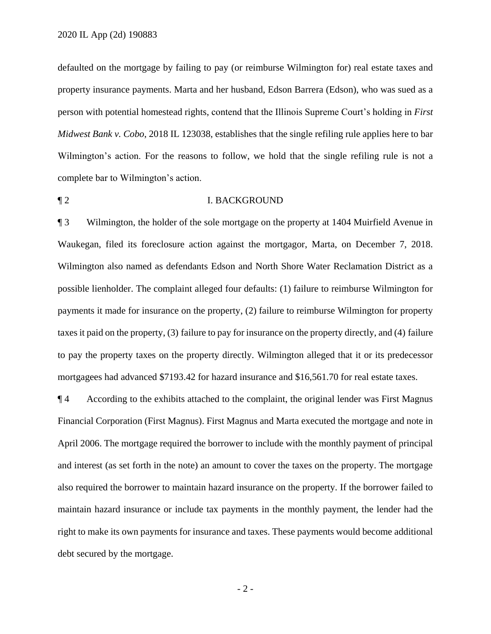defaulted on the mortgage by failing to pay (or reimburse Wilmington for) real estate taxes and property insurance payments. Marta and her husband, Edson Barrera (Edson), who was sued as a person with potential homestead rights, contend that the Illinois Supreme Court's holding in *First Midwest Bank v. Cobo*, 2018 IL 123038, establishes that the single refiling rule applies here to bar Wilmington's action. For the reasons to follow, we hold that the single refiling rule is not a complete bar to Wilmington's action.

### ¶ 2 I. BACKGROUND

¶ 3 Wilmington, the holder of the sole mortgage on the property at 1404 Muirfield Avenue in Waukegan, filed its foreclosure action against the mortgagor, Marta, on December 7, 2018. Wilmington also named as defendants Edson and North Shore Water Reclamation District as a possible lienholder. The complaint alleged four defaults: (1) failure to reimburse Wilmington for payments it made for insurance on the property, (2) failure to reimburse Wilmington for property taxes it paid on the property, (3) failure to pay for insurance on the property directly, and (4) failure to pay the property taxes on the property directly. Wilmington alleged that it or its predecessor mortgagees had advanced \$7193.42 for hazard insurance and \$16,561.70 for real estate taxes.

¶ 4 According to the exhibits attached to the complaint, the original lender was First Magnus Financial Corporation (First Magnus). First Magnus and Marta executed the mortgage and note in April 2006. The mortgage required the borrower to include with the monthly payment of principal and interest (as set forth in the note) an amount to cover the taxes on the property. The mortgage also required the borrower to maintain hazard insurance on the property. If the borrower failed to maintain hazard insurance or include tax payments in the monthly payment, the lender had the right to make its own payments for insurance and taxes. These payments would become additional debt secured by the mortgage.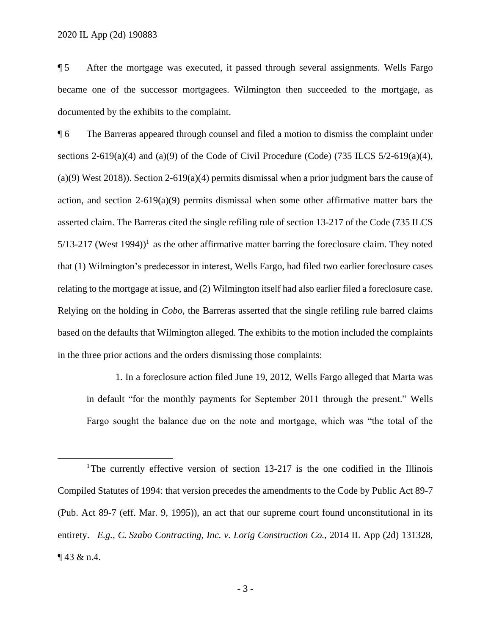$\overline{a}$ 

¶ 5 After the mortgage was executed, it passed through several assignments. Wells Fargo became one of the successor mortgagees. Wilmington then succeeded to the mortgage, as documented by the exhibits to the complaint.

¶ 6 The Barreras appeared through counsel and filed a motion to dismiss the complaint under sections 2-619(a)(4) and (a)(9) of the Code of Civil Procedure (Code) (735 ILCS  $5/2$ -619(a)(4), (a)(9) West 2018)). Section 2-619(a)(4) permits dismissal when a prior judgment bars the cause of action, and section 2-619(a)(9) permits dismissal when some other affirmative matter bars the asserted claim. The Barreras cited the single refiling rule of section 13-217 of the Code (735 ILCS  $5/13-217$  (West 1994)<sup>1</sup> as the other affirmative matter barring the foreclosure claim. They noted that (1) Wilmington's predecessor in interest, Wells Fargo, had filed two earlier foreclosure cases relating to the mortgage at issue, and (2) Wilmington itself had also earlier filed a foreclosure case. Relying on the holding in *Cobo*, the Barreras asserted that the single refiling rule barred claims based on the defaults that Wilmington alleged. The exhibits to the motion included the complaints in the three prior actions and the orders dismissing those complaints:

1. In a foreclosure action filed June 19, 2012, Wells Fargo alleged that Marta was in default "for the monthly payments for September 2011 through the present." Wells Fargo sought the balance due on the note and mortgage, which was "the total of the

<sup>&</sup>lt;sup>1</sup>The currently effective version of section  $13-217$  is the one codified in the Illinois Compiled Statutes of 1994: that version precedes the amendments to the Code by Public Act 89-7 (Pub. Act 89-7 (eff. Mar. 9, 1995)), an act that our supreme court found unconstitutional in its entirety. *E.g.*, *C. Szabo Contracting, Inc. v. Lorig Construction Co.*, 2014 IL App (2d) 131328,  $\P$  43 & n.4.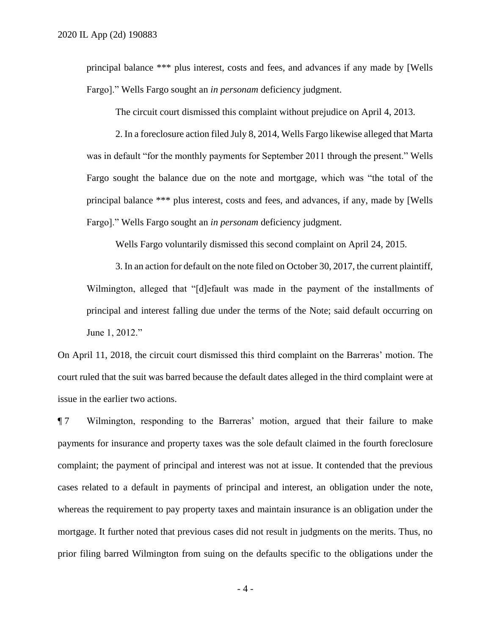principal balance \*\*\* plus interest, costs and fees, and advances if any made by [Wells Fargo]." Wells Fargo sought an *in personam* deficiency judgment.

The circuit court dismissed this complaint without prejudice on April 4, 2013.

2. In a foreclosure action filed July 8, 2014, Wells Fargo likewise alleged that Marta was in default "for the monthly payments for September 2011 through the present." Wells Fargo sought the balance due on the note and mortgage, which was "the total of the principal balance \*\*\* plus interest, costs and fees, and advances, if any, made by [Wells Fargo]." Wells Fargo sought an *in personam* deficiency judgment.

Wells Fargo voluntarily dismissed this second complaint on April 24, 2015.

3. In an action for default on the note filed on October 30, 2017, the current plaintiff, Wilmington, alleged that "[d]efault was made in the payment of the installments of principal and interest falling due under the terms of the Note; said default occurring on June 1, 2012."

On April 11, 2018, the circuit court dismissed this third complaint on the Barreras' motion. The court ruled that the suit was barred because the default dates alleged in the third complaint were at issue in the earlier two actions.

¶ 7 Wilmington, responding to the Barreras' motion, argued that their failure to make payments for insurance and property taxes was the sole default claimed in the fourth foreclosure complaint; the payment of principal and interest was not at issue. It contended that the previous cases related to a default in payments of principal and interest, an obligation under the note, whereas the requirement to pay property taxes and maintain insurance is an obligation under the mortgage. It further noted that previous cases did not result in judgments on the merits. Thus, no prior filing barred Wilmington from suing on the defaults specific to the obligations under the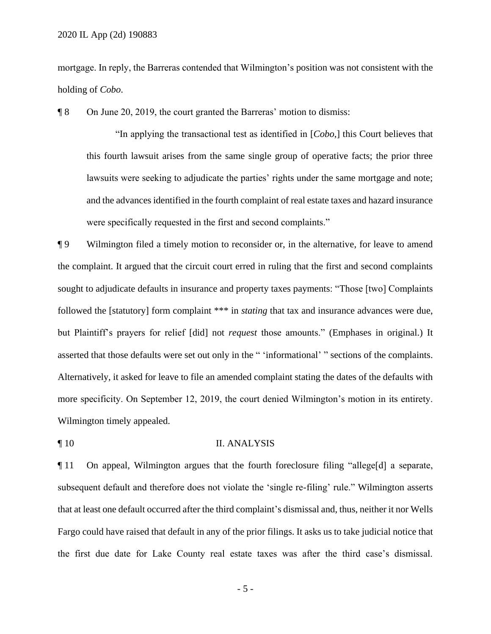mortgage. In reply, the Barreras contended that Wilmington's position was not consistent with the holding of *Cobo*.

¶ 8 On June 20, 2019, the court granted the Barreras' motion to dismiss:

"In applying the transactional test as identified in [*Cobo*,] this Court believes that this fourth lawsuit arises from the same single group of operative facts; the prior three lawsuits were seeking to adjudicate the parties' rights under the same mortgage and note; and the advances identified in the fourth complaint of real estate taxes and hazard insurance were specifically requested in the first and second complaints."

¶ 9 Wilmington filed a timely motion to reconsider or, in the alternative, for leave to amend the complaint. It argued that the circuit court erred in ruling that the first and second complaints sought to adjudicate defaults in insurance and property taxes payments: "Those [two] Complaints followed the [statutory] form complaint \*\*\* in *stating* that tax and insurance advances were due, but Plaintiff's prayers for relief [did] not *request* those amounts." (Emphases in original.) It asserted that those defaults were set out only in the " 'informational' " sections of the complaints. Alternatively, it asked for leave to file an amended complaint stating the dates of the defaults with more specificity. On September 12, 2019, the court denied Wilmington's motion in its entirety. Wilmington timely appealed.

#### ¶ 10 II. ANALYSIS

¶ 11 On appeal, Wilmington argues that the fourth foreclosure filing "allege[d] a separate, subsequent default and therefore does not violate the 'single re-filing' rule." Wilmington asserts that at least one default occurred after the third complaint's dismissal and, thus, neither it nor Wells Fargo could have raised that default in any of the prior filings. It asks us to take judicial notice that the first due date for Lake County real estate taxes was after the third case's dismissal.

- 5 -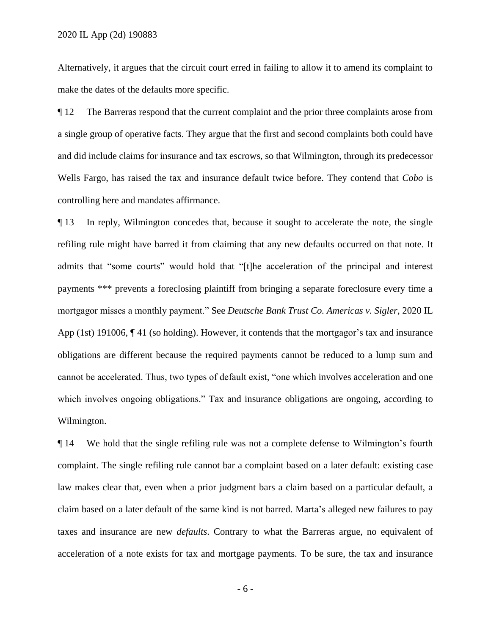Alternatively, it argues that the circuit court erred in failing to allow it to amend its complaint to make the dates of the defaults more specific.

¶ 12 The Barreras respond that the current complaint and the prior three complaints arose from a single group of operative facts. They argue that the first and second complaints both could have and did include claims for insurance and tax escrows, so that Wilmington, through its predecessor Wells Fargo, has raised the tax and insurance default twice before. They contend that *Cobo* is controlling here and mandates affirmance.

¶ 13 In reply, Wilmington concedes that, because it sought to accelerate the note, the single refiling rule might have barred it from claiming that any new defaults occurred on that note. It admits that "some courts" would hold that "[t]he acceleration of the principal and interest payments \*\*\* prevents a foreclosing plaintiff from bringing a separate foreclosure every time a mortgagor misses a monthly payment." See *Deutsche Bank Trust Co. Americas v. Sigler*, 2020 IL App (1st) 191006, ¶ 41 (so holding). However, it contends that the mortgagor's tax and insurance obligations are different because the required payments cannot be reduced to a lump sum and cannot be accelerated. Thus, two types of default exist, "one which involves acceleration and one which involves ongoing obligations." Tax and insurance obligations are ongoing, according to Wilmington.

¶ 14 We hold that the single refiling rule was not a complete defense to Wilmington's fourth complaint. The single refiling rule cannot bar a complaint based on a later default: existing case law makes clear that, even when a prior judgment bars a claim based on a particular default, a claim based on a later default of the same kind is not barred. Marta's alleged new failures to pay taxes and insurance are new *defaults*. Contrary to what the Barreras argue, no equivalent of acceleration of a note exists for tax and mortgage payments. To be sure, the tax and insurance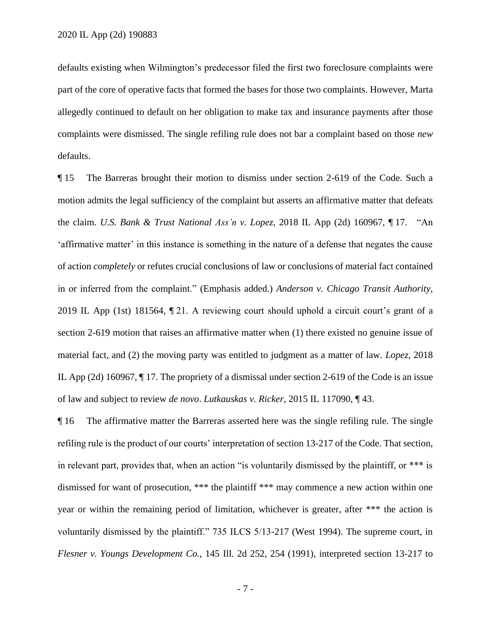defaults existing when Wilmington's predecessor filed the first two foreclosure complaints were part of the core of operative facts that formed the bases for those two complaints. However, Marta allegedly continued to default on her obligation to make tax and insurance payments after those complaints were dismissed. The single refiling rule does not bar a complaint based on those *new* defaults.

¶ 15 The Barreras brought their motion to dismiss under section 2-619 of the Code. Such a motion admits the legal sufficiency of the complaint but asserts an affirmative matter that defeats the claim. *U.S. Bank & Trust National Ass'n v. Lopez*, 2018 IL App (2d) 160967, ¶ 17. "An 'affirmative matter' in this instance is something in the nature of a defense that negates the cause of action *completely* or refutes crucial conclusions of law or conclusions of material fact contained in or inferred from the complaint." (Emphasis added.) *Anderson v. Chicago Transit Authority*, 2019 IL App (1st) 181564, ¶ 21. A reviewing court should uphold a circuit court's grant of a section 2-619 motion that raises an affirmative matter when (1) there existed no genuine issue of material fact, and (2) the moving party was entitled to judgment as a matter of law. *Lopez*, 2018 IL App (2d) 160967, ¶ 17. The propriety of a dismissal under section 2-619 of the Code is an issue of law and subject to review *de novo*. *Lutkauskas v. Ricker*, 2015 IL 117090, ¶ 43.

¶ 16 The affirmative matter the Barreras asserted here was the single refiling rule. The single refiling rule is the product of our courts' interpretation of section 13-217 of the Code. That section, in relevant part, provides that, when an action "is voluntarily dismissed by the plaintiff, or \*\*\* is dismissed for want of prosecution, \*\*\* the plaintiff \*\*\* may commence a new action within one year or within the remaining period of limitation, whichever is greater, after \*\*\* the action is voluntarily dismissed by the plaintiff." 735 ILCS 5/13-217 (West 1994). The supreme court, in *Flesner v. Youngs Development Co.*, 145 Ill. 2d 252, 254 (1991), interpreted section 13-217 to

- 7 -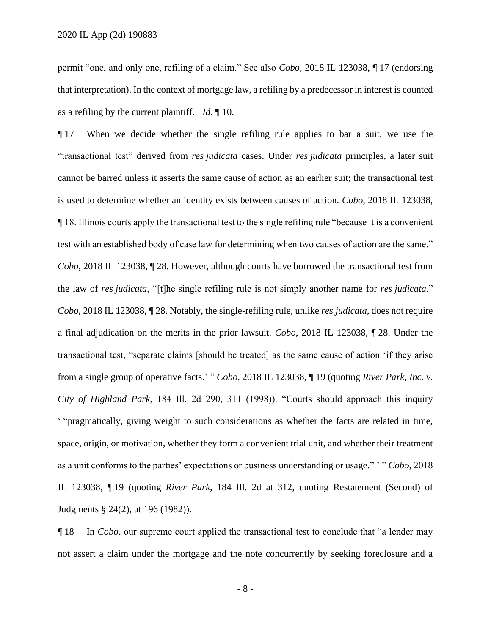permit "one, and only one, refiling of a claim." See also *Cobo*, 2018 IL 123038, ¶ 17 (endorsing that interpretation). In the context of mortgage law, a refiling by a predecessor in interest is counted as a refiling by the current plaintiff. *Id.* ¶ 10.

¶ 17 When we decide whether the single refiling rule applies to bar a suit, we use the "transactional test" derived from *res judicata* cases. Under *res judicata* principles, a later suit cannot be barred unless it asserts the same cause of action as an earlier suit; the transactional test is used to determine whether an identity exists between causes of action. *Cobo*, 2018 IL 123038, ¶ 18. Illinois courts apply the transactional test to the single refiling rule "because it is a convenient test with an established body of case law for determining when two causes of action are the same." *Cobo*, 2018 IL 123038, ¶ 28. However, although courts have borrowed the transactional test from the law of *res judicata*, "[t]he single refiling rule is not simply another name for *res judicata*." *Cobo*, 2018 IL 123038, ¶ 28. Notably, the single-refiling rule, unlike *res judicata*, does not require a final adjudication on the merits in the prior lawsuit. *Cobo*, 2018 IL 123038, ¶ 28. Under the transactional test, "separate claims [should be treated] as the same cause of action 'if they arise from a single group of operative facts.' " *Cobo*, 2018 IL 123038, ¶ 19 (quoting *River Park, Inc. v. City of Highland Park*, 184 Ill. 2d 290, 311 (1998)). "Courts should approach this inquiry ' "pragmatically, giving weight to such considerations as whether the facts are related in time, space, origin, or motivation, whether they form a convenient trial unit, and whether their treatment as a unit conforms to the parties' expectations or business understanding or usage." ' " *Cobo*, 2018 IL 123038, ¶ 19 (quoting *River Park*, 184 Ill. 2d at 312, quoting Restatement (Second) of Judgments § 24(2), at 196 (1982)).

¶ 18 In *Cobo*, our supreme court applied the transactional test to conclude that "a lender may not assert a claim under the mortgage and the note concurrently by seeking foreclosure and a

- 8 -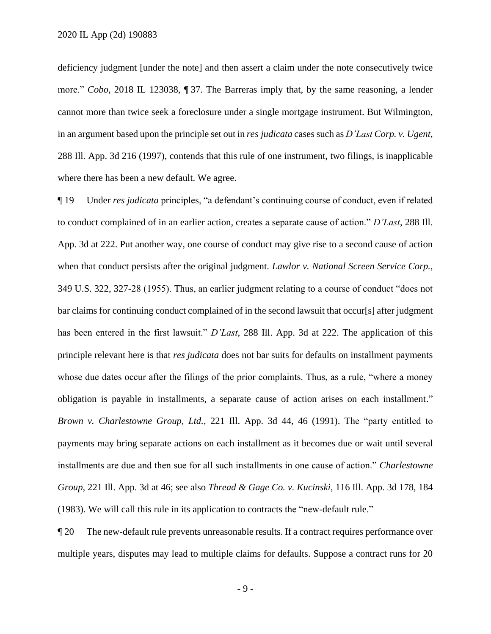deficiency judgment [under the note] and then assert a claim under the note consecutively twice more." *Cobo*, 2018 IL 123038, ¶ 37. The Barreras imply that, by the same reasoning, a lender cannot more than twice seek a foreclosure under a single mortgage instrument. But Wilmington, in an argument based upon the principle set out in *res judicata* cases such as *D'Last Corp. v. Ugent*, 288 Ill. App. 3d 216 (1997), contends that this rule of one instrument, two filings, is inapplicable where there has been a new default. We agree.

¶ 19 Under *res judicata* principles, "a defendant's continuing course of conduct, even if related to conduct complained of in an earlier action, creates a separate cause of action." *D'Last*, 288 Ill. App. 3d at 222. Put another way, one course of conduct may give rise to a second cause of action when that conduct persists after the original judgment. *Lawlor v. National Screen Service Corp.*, 349 U.S. 322, 327-28 (1955). Thus, an earlier judgment relating to a course of conduct "does not bar claims for continuing conduct complained of in the second lawsuit that occur[s] after judgment has been entered in the first lawsuit." *D'Last*, 288 Ill. App. 3d at 222. The application of this principle relevant here is that *res judicata* does not bar suits for defaults on installment payments whose due dates occur after the filings of the prior complaints. Thus, as a rule, "where a money obligation is payable in installments, a separate cause of action arises on each installment." *Brown v. Charlestowne Group, Ltd.*, 221 Ill. App. 3d 44, 46 (1991). The "party entitled to payments may bring separate actions on each installment as it becomes due or wait until several installments are due and then sue for all such installments in one cause of action." *Charlestowne Group*, 221 Ill. App. 3d at 46; see also *Thread & Gage Co. v. Kucinski*, 116 Ill. App. 3d 178, 184 (1983). We will call this rule in its application to contracts the "new-default rule."

¶ 20 The new-default rule prevents unreasonable results. If a contract requires performance over multiple years, disputes may lead to multiple claims for defaults. Suppose a contract runs for 20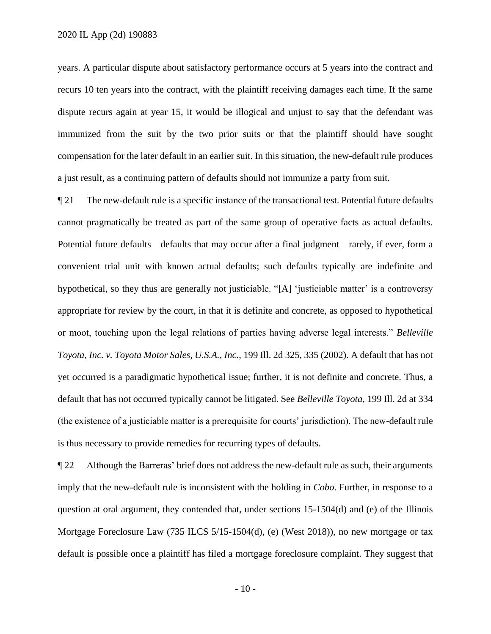years. A particular dispute about satisfactory performance occurs at 5 years into the contract and recurs 10 ten years into the contract, with the plaintiff receiving damages each time. If the same dispute recurs again at year 15, it would be illogical and unjust to say that the defendant was immunized from the suit by the two prior suits or that the plaintiff should have sought compensation for the later default in an earlier suit. In this situation, the new-default rule produces a just result, as a continuing pattern of defaults should not immunize a party from suit.

¶ 21 The new-default rule is a specific instance of the transactional test. Potential future defaults cannot pragmatically be treated as part of the same group of operative facts as actual defaults. Potential future defaults—defaults that may occur after a final judgment—rarely, if ever, form a convenient trial unit with known actual defaults; such defaults typically are indefinite and hypothetical, so they thus are generally not justiciable. "[A] 'justiciable matter' is a controversy appropriate for review by the court, in that it is definite and concrete, as opposed to hypothetical or moot, touching upon the legal relations of parties having adverse legal interests." *Belleville Toyota, Inc. v. Toyota Motor Sales, U.S.A., Inc.*, 199 Ill. 2d 325, 335 (2002). A default that has not yet occurred is a paradigmatic hypothetical issue; further, it is not definite and concrete. Thus, a default that has not occurred typically cannot be litigated. See *Belleville Toyota*, 199 Ill. 2d at 334 (the existence of a justiciable matter is a prerequisite for courts' jurisdiction). The new-default rule is thus necessary to provide remedies for recurring types of defaults.

¶ 22 Although the Barreras' brief does not address the new-default rule as such, their arguments imply that the new-default rule is inconsistent with the holding in *Cobo*. Further, in response to a question at oral argument, they contended that, under sections  $15{\text -}1504(d)$  and (e) of the Illinois Mortgage Foreclosure Law (735 ILCS 5/15-1504(d), (e) (West 2018)), no new mortgage or tax default is possible once a plaintiff has filed a mortgage foreclosure complaint. They suggest that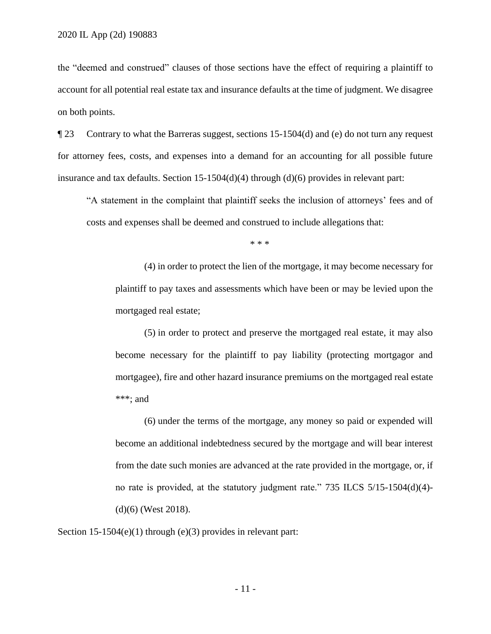the "deemed and construed" clauses of those sections have the effect of requiring a plaintiff to account for all potential real estate tax and insurance defaults at the time of judgment. We disagree on both points.

¶ 23 Contrary to what the Barreras suggest, sections 15-1504(d) and (e) do not turn any request for attorney fees, costs, and expenses into a demand for an accounting for all possible future insurance and tax defaults. Section 15-1504(d)(4) through (d)(6) provides in relevant part:

"A statement in the complaint that plaintiff seeks the inclusion of attorneys' fees and of costs and expenses shall be deemed and construed to include allegations that:

\* \* \*

(4) in order to protect the lien of the mortgage, it may become necessary for plaintiff to pay taxes and assessments which have been or may be levied upon the mortgaged real estate;

(5) in order to protect and preserve the mortgaged real estate, it may also become necessary for the plaintiff to pay liability (protecting mortgagor and mortgagee), fire and other hazard insurance premiums on the mortgaged real estate \*\*\*; and

(6) under the terms of the mortgage, any money so paid or expended will become an additional indebtedness secured by the mortgage and will bear interest from the date such monies are advanced at the rate provided in the mortgage, or, if no rate is provided, at the statutory judgment rate." 735 ILCS 5/15-1504(d)(4)- (d)(6) (West 2018).

Section 15-1504(e)(1) through (e)(3) provides in relevant part: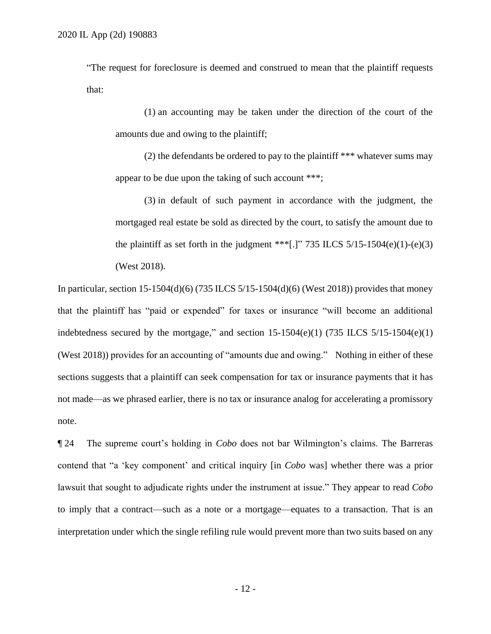"The request for foreclosure is deemed and construed to mean that the plaintiff requests that:

(1) an accounting may be taken under the direction of the court of the amounts due and owing to the plaintiff;

(2) the defendants be ordered to pay to the plaintiff \*\*\* whatever sums may appear to be due upon the taking of such account \*\*\*;

(3) in default of such payment in accordance with the judgment, the mortgaged real estate be sold as directed by the court, to satisfy the amount due to the plaintiff as set forth in the judgment \*\*\*[.]" 735 ILCS  $5/15-1504(e)(1)-(e)(3)$ (West 2018).

In particular, section  $15-1504(d)(6)$  (735 ILCS  $5/15-1504(d)(6)$  (West 2018)) provides that money that the plaintiff has "paid or expended" for taxes or insurance "will become an additional indebtedness secured by the mortgage," and section  $15-1504(e)(1)$  (735 ILCS  $5/15-1504(e)(1)$ ) (West 2018)) provides for an accounting of "amounts due and owing." Nothing in either of these sections suggests that a plaintiff can seek compensation for tax or insurance payments that it has not made—as we phrased earlier, there is no tax or insurance analog for accelerating a promissory note.

¶ 24 The supreme court's holding in *Cobo* does not bar Wilmington's claims. The Barreras contend that "a 'key component' and critical inquiry [in *Cobo* was] whether there was a prior lawsuit that sought to adjudicate rights under the instrument at issue." They appear to read *Cobo* to imply that a contract—such as a note or a mortgage—equates to a transaction. That is an interpretation under which the single refiling rule would prevent more than two suits based on any

- 12 -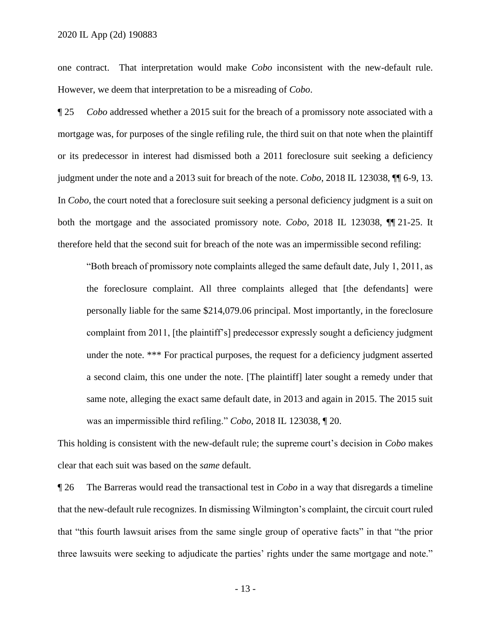one contract. That interpretation would make *Cobo* inconsistent with the new-default rule. However, we deem that interpretation to be a misreading of *Cobo*.

¶ 25 *Cobo* addressed whether a 2015 suit for the breach of a promissory note associated with a mortgage was, for purposes of the single refiling rule, the third suit on that note when the plaintiff or its predecessor in interest had dismissed both a 2011 foreclosure suit seeking a deficiency judgment under the note and a 2013 suit for breach of the note. *Cobo*, 2018 IL 123038, ¶¶ 6-9, 13. In *Cobo*, the court noted that a foreclosure suit seeking a personal deficiency judgment is a suit on both the mortgage and the associated promissory note. *Cobo*, 2018 IL 123038, ¶¶ 21-25. It therefore held that the second suit for breach of the note was an impermissible second refiling:

"Both breach of promissory note complaints alleged the same default date, July 1, 2011, as the foreclosure complaint. All three complaints alleged that [the defendants] were personally liable for the same \$214,079.06 principal. Most importantly, in the foreclosure complaint from 2011, [the plaintiff's] predecessor expressly sought a deficiency judgment under the note. \*\*\* For practical purposes, the request for a deficiency judgment asserted a second claim, this one under the note. [The plaintiff] later sought a remedy under that same note, alleging the exact same default date, in 2013 and again in 2015. The 2015 suit was an impermissible third refiling." *Cobo*, 2018 IL 123038, ¶ 20.

This holding is consistent with the new-default rule; the supreme court's decision in *Cobo* makes clear that each suit was based on the *same* default.

¶ 26 The Barreras would read the transactional test in *Cobo* in a way that disregards a timeline that the new-default rule recognizes. In dismissing Wilmington's complaint, the circuit court ruled that "this fourth lawsuit arises from the same single group of operative facts" in that "the prior three lawsuits were seeking to adjudicate the parties' rights under the same mortgage and note."

- 13 -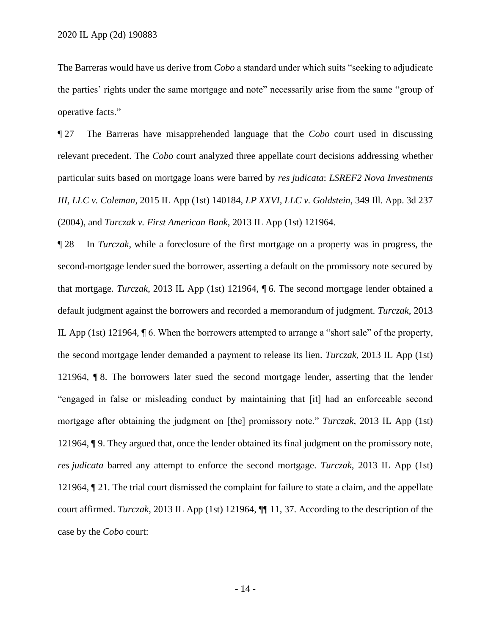The Barreras would have us derive from *Cobo* a standard under which suits "seeking to adjudicate the parties' rights under the same mortgage and note" necessarily arise from the same "group of operative facts."

¶ 27 The Barreras have misapprehended language that the *Cobo* court used in discussing relevant precedent. The *Cobo* court analyzed three appellate court decisions addressing whether particular suits based on mortgage loans were barred by *res judicata*: *LSREF2 Nova Investments III, LLC v. Coleman*, 2015 IL App (1st) 140184, *LP XXVI, LLC v. Goldstein*, 349 Ill. App. 3d 237 (2004), and *Turczak v. First American Bank*, 2013 IL App (1st) 121964.

¶ 28 In *Turczak*, while a foreclosure of the first mortgage on a property was in progress, the second-mortgage lender sued the borrower, asserting a default on the promissory note secured by that mortgage. *Turczak*, 2013 IL App (1st) 121964, ¶ 6. The second mortgage lender obtained a default judgment against the borrowers and recorded a memorandum of judgment. *Turczak*, 2013 IL App (1st) 121964, ¶ 6. When the borrowers attempted to arrange a "short sale" of the property, the second mortgage lender demanded a payment to release its lien. *Turczak*, 2013 IL App (1st) 121964, ¶ 8. The borrowers later sued the second mortgage lender, asserting that the lender "engaged in false or misleading conduct by maintaining that [it] had an enforceable second mortgage after obtaining the judgment on [the] promissory note." *Turczak*, 2013 IL App (1st) 121964, ¶ 9. They argued that, once the lender obtained its final judgment on the promissory note, *res judicata* barred any attempt to enforce the second mortgage. *Turczak*, 2013 IL App (1st) 121964, ¶ 21. The trial court dismissed the complaint for failure to state a claim, and the appellate court affirmed. *Turczak*, 2013 IL App (1st) 121964, ¶¶ 11, 37. According to the description of the case by the *Cobo* court: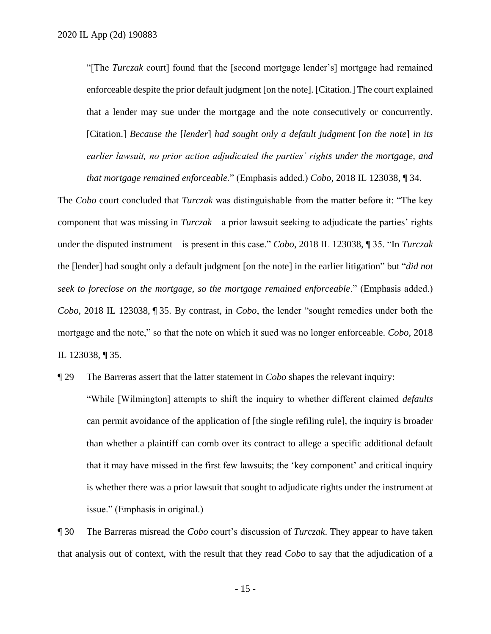"[The *Turczak* court] found that the [second mortgage lender's] mortgage had remained enforceable despite the prior default judgment [on the note]. [Citation.] The court explained that a lender may sue under the mortgage and the note consecutively or concurrently. [Citation.] *Because the* [*lender*] *had sought only a default judgment* [*on the note*] *in its earlier lawsuit, no prior action adjudicated the parties' rights under the mortgage, and that mortgage remained enforceable.*" (Emphasis added.) *Cobo*, 2018 IL 123038, ¶ 34.

The *Cobo* court concluded that *Turczak* was distinguishable from the matter before it: "The key component that was missing in *Turczak*—a prior lawsuit seeking to adjudicate the parties' rights under the disputed instrument—is present in this case." *Cobo*, 2018 IL 123038, ¶ 35. "In *Turczak* the [lender] had sought only a default judgment [on the note] in the earlier litigation" but "*did not seek to foreclose on the mortgage, so the mortgage remained enforceable*." (Emphasis added.) *Cobo*, 2018 IL 123038, ¶ 35. By contrast, in *Cobo*, the lender "sought remedies under both the mortgage and the note," so that the note on which it sued was no longer enforceable. *Cobo*, 2018 IL 123038, ¶ 35.

¶ 29 The Barreras assert that the latter statement in *Cobo* shapes the relevant inquiry:

"While [Wilmington] attempts to shift the inquiry to whether different claimed *defaults* can permit avoidance of the application of [the single refiling rule], the inquiry is broader than whether a plaintiff can comb over its contract to allege a specific additional default that it may have missed in the first few lawsuits; the 'key component' and critical inquiry is whether there was a prior lawsuit that sought to adjudicate rights under the instrument at issue." (Emphasis in original.)

¶ 30 The Barreras misread the *Cobo* court's discussion of *Turczak*. They appear to have taken that analysis out of context, with the result that they read *Cobo* to say that the adjudication of a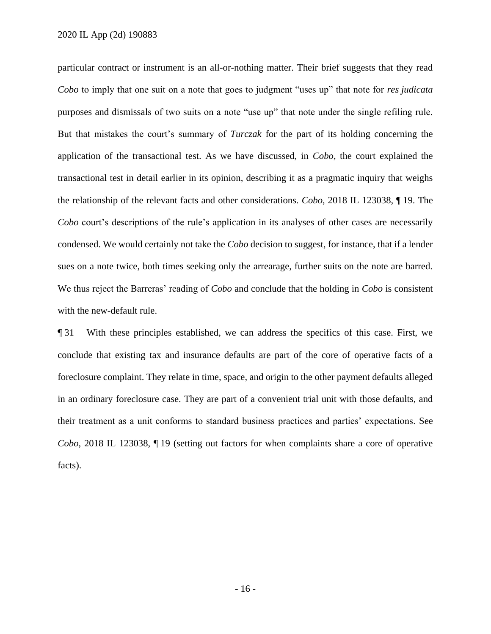particular contract or instrument is an all-or-nothing matter. Their brief suggests that they read *Cobo* to imply that one suit on a note that goes to judgment "uses up" that note for *res judicata* purposes and dismissals of two suits on a note "use up" that note under the single refiling rule. But that mistakes the court's summary of *Turczak* for the part of its holding concerning the application of the transactional test. As we have discussed, in *Cobo*, the court explained the transactional test in detail earlier in its opinion, describing it as a pragmatic inquiry that weighs the relationship of the relevant facts and other considerations. *Cobo*, 2018 IL 123038, ¶ 19. The *Cobo* court's descriptions of the rule's application in its analyses of other cases are necessarily condensed. We would certainly not take the *Cobo* decision to suggest, for instance, that if a lender sues on a note twice, both times seeking only the arrearage, further suits on the note are barred. We thus reject the Barreras' reading of *Cobo* and conclude that the holding in *Cobo* is consistent with the new-default rule.

¶ 31 With these principles established, we can address the specifics of this case. First, we conclude that existing tax and insurance defaults are part of the core of operative facts of a foreclosure complaint. They relate in time, space, and origin to the other payment defaults alleged in an ordinary foreclosure case. They are part of a convenient trial unit with those defaults, and their treatment as a unit conforms to standard business practices and parties' expectations. See *Cobo*, 2018 IL 123038, ¶ 19 (setting out factors for when complaints share a core of operative facts).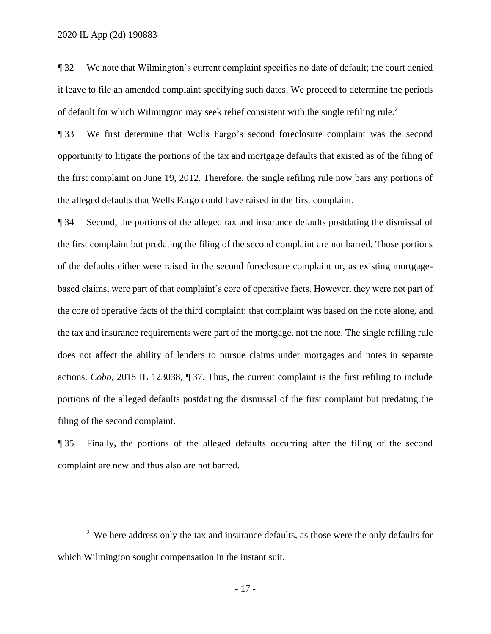$\overline{a}$ 

¶ 32 We note that Wilmington's current complaint specifies no date of default; the court denied it leave to file an amended complaint specifying such dates. We proceed to determine the periods of default for which Wilmington may seek relief consistent with the single refiling rule.<sup>2</sup>

¶ 33 We first determine that Wells Fargo's second foreclosure complaint was the second opportunity to litigate the portions of the tax and mortgage defaults that existed as of the filing of the first complaint on June 19, 2012. Therefore, the single refiling rule now bars any portions of the alleged defaults that Wells Fargo could have raised in the first complaint.

¶ 34 Second, the portions of the alleged tax and insurance defaults postdating the dismissal of the first complaint but predating the filing of the second complaint are not barred. Those portions of the defaults either were raised in the second foreclosure complaint or, as existing mortgagebased claims, were part of that complaint's core of operative facts. However, they were not part of the core of operative facts of the third complaint: that complaint was based on the note alone, and the tax and insurance requirements were part of the mortgage, not the note. The single refiling rule does not affect the ability of lenders to pursue claims under mortgages and notes in separate actions. *Cobo*, 2018 IL 123038, ¶ 37. Thus, the current complaint is the first refiling to include portions of the alleged defaults postdating the dismissal of the first complaint but predating the filing of the second complaint.

¶ 35 Finally, the portions of the alleged defaults occurring after the filing of the second complaint are new and thus also are not barred.

 $2$  We here address only the tax and insurance defaults, as those were the only defaults for which Wilmington sought compensation in the instant suit.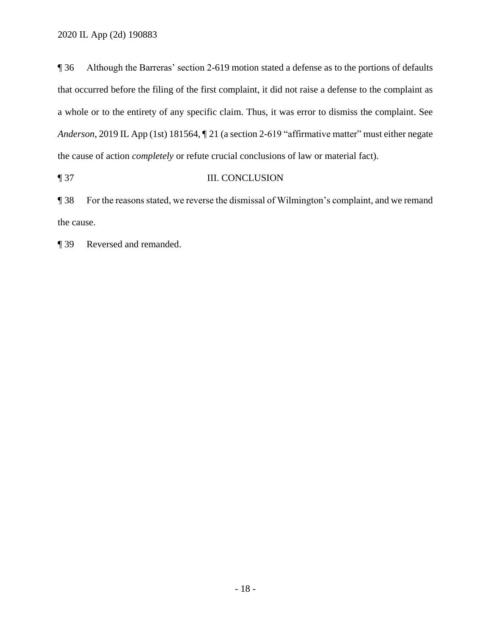¶ 36 Although the Barreras' section 2-619 motion stated a defense as to the portions of defaults that occurred before the filing of the first complaint, it did not raise a defense to the complaint as a whole or to the entirety of any specific claim. Thus, it was error to dismiss the complaint. See *Anderson*, 2019 IL App (1st) 181564, ¶ 21 (a section 2-619 "affirmative matter" must either negate the cause of action *completely* or refute crucial conclusions of law or material fact).

## ¶ 37 III. CONCLUSION

¶ 38 For the reasons stated, we reverse the dismissal of Wilmington's complaint, and we remand the cause.

¶ 39 Reversed and remanded.